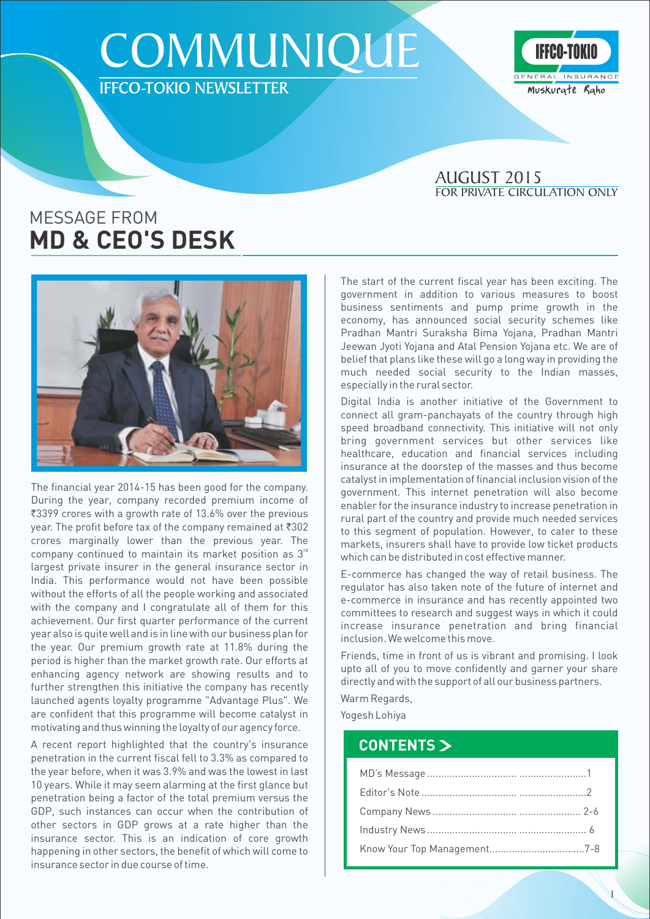## **COMMUNIQUE** IFFCO-TOKIO NEWSLETTER



#### **FOR PRIVATE CIRCULATION ONLY** AUGUST 2015

## MESSAGE FROM **MD & CEO'S DESK**



The financial year 2014-15 has been good for the company. During the year, company recorded premium income of ₹3399 crores with a growth rate of 13.6% over the previous year. The profit before tax of the company remained at  $\overline{\text{302}}$ crores marginally lower than the previous year. The company continued to maintain its market position as  $3^{rd}$ largest private insurer in the general insurance sector in India. This performance would not have been possible without the efforts of all the people working and associated with the company and I congratulate all of them for this achievement. Our first quarter performance of the current year also is quite well and is in line with our business plan for the year. Our premium growth rate at 11.8% during the period is higher than the market growth rate. Our efforts at enhancing agency network are showing results and to further strengthen this initiative the company has recently launched agents loyalty programme "Advantage Plus". We are confident that this programme will become catalyst in motivating and thus winning the loyalty of our agency force.

A recent report highlighted that the country's insurance penetration in the current fiscal fell to 3.3% as compared to the year before, when it was 3.9% and was the lowest in last 10 years. While it may seem alarming at the first glance but penetration being a factor of the total premium versus the GDP, such instances can occur when the contribution of other sectors in GDP grows at a rate higher than the insurance sector. This is an indication of core growth happening in other sectors, the benefit of which will come to insurance sector in due course of time.

The start of the current fiscal year has been exciting. The government in addition to various measures to boost business sentiments and pump prime growth in the economy, has announced social security schemes like Pradhan Mantri Suraksha Bima Yojana, Pradhan Mantri Jeewan Jyoti Yojana and Atal Pension Yojana etc. We are of belief that plans like these will go a long way in providing the much needed social security to the Indian masses, especially in the rural sector.

Digital India is another initiative of the Government to connect all gram-panchayats of the country through high speed broadband connectivity. This initiative will not only bring government services but other services like healthcare, education and financial services including insurance at the doorstep of the masses and thus become catalyst in implementation of financial inclusion vision of the government. This internet penetration will also become enabler for the insurance industry to increase penetration in rural part of the country and provide much needed services to this segment of population. However, to cater to these markets, insurers shall have to provide low ticket products which can be distributed in cost effective manner.

E-commerce has changed the way of retail business. The regulator has also taken note of the future of internet and e-commerce in insurance and has recently appointed two committees to research and suggest ways in which it could increase insurance penetration and bring financial inclusion. We welcome this move.

Friends, time in front of us is vibrant and promising. I look upto all of you to move confidently and garner your share directly and with the support of all our business partners.

Warm Regards,

Yogesh Lohiya

### **CONTENTS**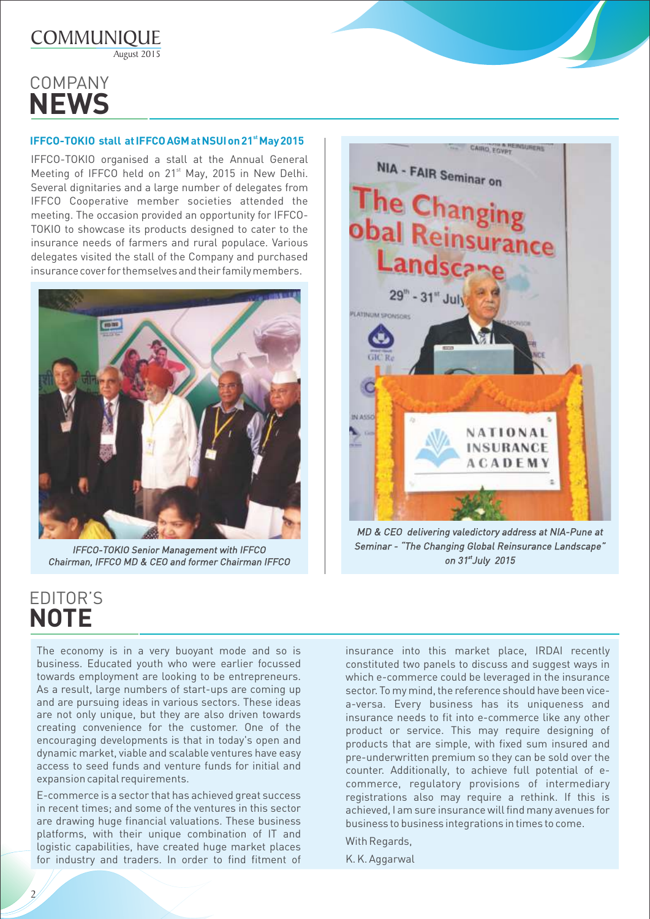

## **COMPANY NEWS**

#### **st IFFCO-TOKIO stall at IFFCO AGM at NSUI on 21 May 2015**

IFFCO-TOKIO organised a stall at the Annual General Meeting of IFFCO held on 21<sup>st</sup> May, 2015 in New Delhi. Several dignitaries and a large number of delegates from IFFCO Cooperative member societies attended the meeting. The occasion provided an opportunity for IFFCO-TOKIO to showcase its products designed to cater to the insurance needs of farmers and rural populace. Various delegates visited the stall of the Company and purchased insurance cover for themselves and their family members.



*IFFCO-TOKIO Senior Management with IFFCO Chairman, IFFCO MD & CEO and former Chairman IFFCO*



*MD & CEO delivering valedictory address at NIA-Pune at Seminar - The Changing Global Reinsurance Landscape st on 31 July 2015*

## **EDITOR'S NOTE**

2

The economy is in a very buoyant mode and so is business. Educated youth who were earlier focussed towards employment are looking to be entrepreneurs. As a result, large numbers of start-ups are coming up and are pursuing ideas in various sectors. These ideas are not only unique, but they are also driven towards creating convenience for the customer. One of the encouraging developments is that in today's open and dynamic market, viable and scalable ventures have easy access to seed funds and venture funds for initial and expansion capital requirements.

E-commerce is a sector that has achieved great success in recent times; and some of the ventures in this sector are drawing huge financial valuations. These business platforms, with their unique combination of IT and logistic capabilities, have created huge market places for industry and traders. In order to find fitment of insurance into this market place, IRDAI recently constituted two panels to discuss and suggest ways in which e-commerce could be leveraged in the insurance sector. To my mind, the reference should have been vicea-versa. Every business has its uniqueness and insurance needs to fit into e-commerce like any other product or service. This may require designing of products that are simple, with fixed sum insured and pre-underwritten premium so they can be sold over the counter. Additionally, to achieve full potential of ecommerce, regulatory provisions of intermediary registrations also may require a rethink. If this is achieved, I am sure insurance will find many avenues for business to business integrations in times to come.

With Regards,

K. K. Aggarwal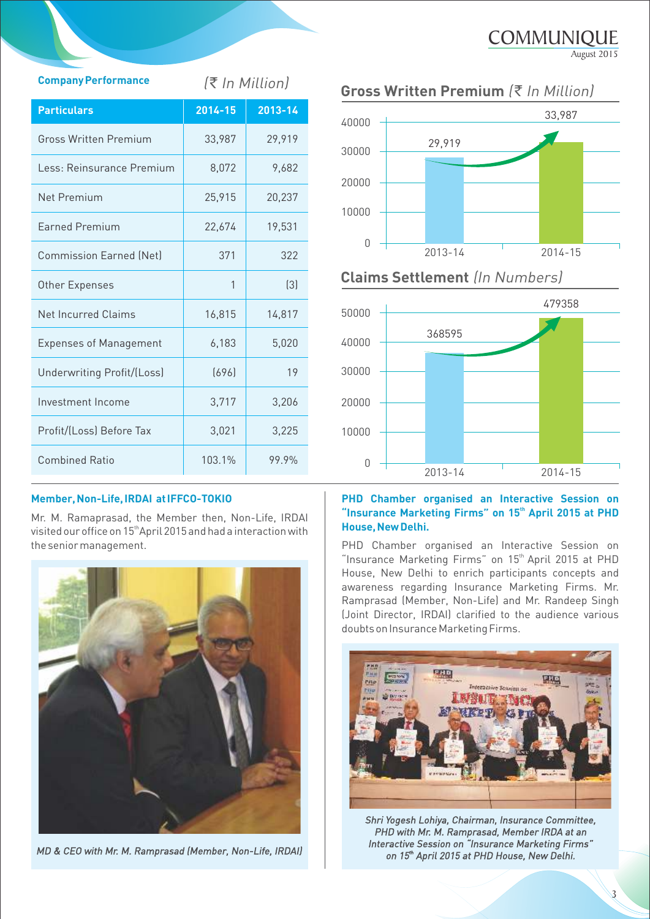| <b>Company Performance</b>     | (₹ In Million) |                  |
|--------------------------------|----------------|------------------|
| <b>Particulars</b>             | 2014-15        | 2013-14          |
| <b>Gross Written Premium</b>   | 33,987         | 29,919           |
| Less: Reinsurance Premium      | 8,072          | 9,682            |
| <b>Net Premium</b>             | 25,915         | 20,237           |
| <b>Farned Premium</b>          | 22,674         | 19,531           |
| <b>Commission Earned (Net)</b> | 371            | 322              |
| Other Expenses                 | 1              | $\left[3\right]$ |
| <b>Net Incurred Claims</b>     | 16,815         | 14,817           |
| <b>Expenses of Management</b>  | 6,183          | 5,020            |
| Underwriting Profit/(Loss)     | (696)          | 19               |
| Investment Income              | 3,717          | 3,206            |
| Profit/(Loss) Before Tax       | 3,021          | 3,225            |
| <b>Combined Ratio</b>          | 103.1%         | 99.9%            |

#### **Member, Non-Life, IRDAI at IFFCO-TOKIO**

Mr. M. Ramaprasad, the Member then, Non-Life, IRDAI visited our office on 15<sup>th</sup> April 2015 and had a interaction with the senior management. PHD Chamber organised an Interactive Session on



*MD & CEO with Mr. M. Ramprasad (Member, Non-Life, IRDAI)* 



**COMMUNIQUE** 

August 2015

#### **Claims Settlement** *(In Numbers)*



#### **PHD Chamber organised an Interactive Session on th Insurance Marketing Firms" on 15 April 2015 at PHD House, New Delhi.**

"Insurance Marketing Firms" on 15<sup>th</sup> April 2015 at PHD House, New Delhi to enrich participants concepts and awareness regarding Insurance Marketing Firms. Mr. Ramprasad (Member, Non-Life) and Mr. Randeep Singh (Joint Director, IRDAI) clarified to the audience various doubts on Insurance Marketing Firms.



*Shri Yogesh Lohiya, Chairman, Insurance Committee, PHD with Mr. M. Ramprasad, Member IRDA at an*  **Interactive Session on "Insurance Marketing Firms"** *th on 15 April 2015 at PHD House, New Delhi.*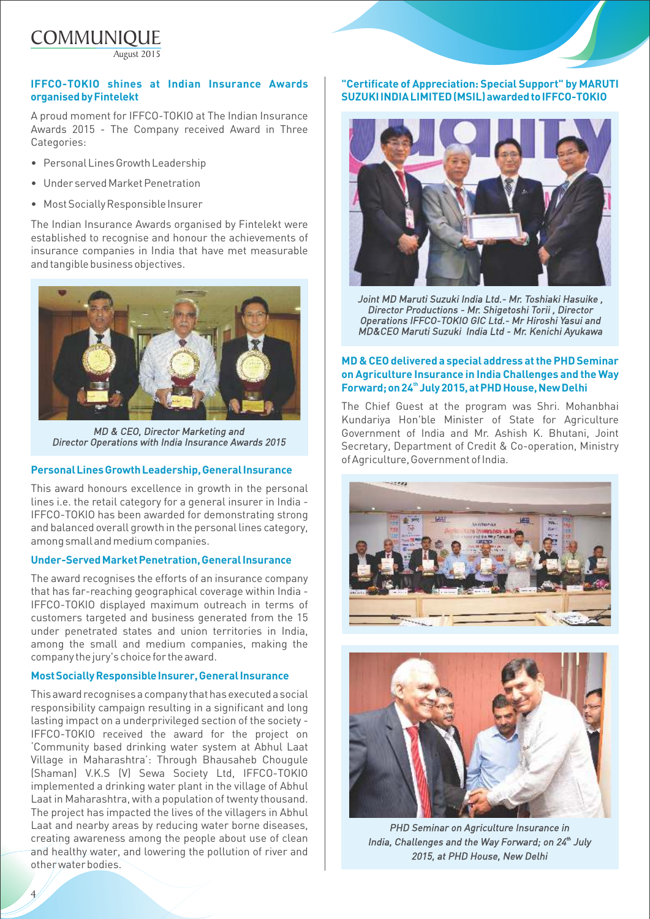COMMUNIQUE August 2015

#### **IFFCO-TOKIO shines at Indian Insurance Awards organised by Fintelekt**

A proud moment for IFFCO-TOKIO at The Indian Insurance Awards 2015 - The Company received Award in Three Categories:

- Personal Lines Growth Leadership
- Under served Market Penetration
- Most Socially Responsible Insurer

The Indian Insurance Awards organised by Fintelekt were established to recognise and honour the achievements of insurance companies in India that have met measurable and tangible business objectives.



*MD & CEO, Director Marketing and Director Operations with India Insurance Awards 2015*

#### **Personal Lines Growth Leadership, General Insurance**

This award honours excellence in growth in the personal lines i.e. the retail category for a general insurer in India - IFFCO-TOKIO has been awarded for demonstrating strong and balanced overall growth in the personal lines category, among small and medium companies.

#### **Under-Served Market Penetration, General Insurance**

The award recognises the efforts of an insurance company that has far-reaching geographical coverage within India - IFFCO-TOKIO displayed maximum outreach in terms of customers targeted and business generated from the 15 under penetrated states and union territories in India, among the small and medium companies, making the company the jury's choice for the award.

#### **Most Socially Responsible Insurer, General Insurance**

This award recognises a company that has executed a social responsibility campaign resulting in a significant and long lasting impact on a underprivileged section of the society - IFFCO-TOKIO received the award for the project on Community based drinking water system at Abhul Laat Village in Maharashtra: Through Bhausaheb Chougule (Shaman) V.K.S (V) Sewa Society Ltd, IFFCO-TOKIO implemented a drinking water plant in the village of Abhul Laat in Maharashtra, with a population of twenty thousand. The project has impacted the lives of the villagers in Abhul Laat and nearby areas by reducing water borne diseases, creating awareness among the people about use of clean and healthy water, and lowering the pollution of river and other water bodies.

4

#### **"Certificate of Appreciation: Special Support" by MARUTI SUZUKI INDIA LIMITED (MSIL) awarded to IFFCO-TOKIO**



*Joint MD Maruti Suzuki India Ltd.- Mr. Toshiaki Hasuike , Director Productions - Mr. Shigetoshi Torii , Director Operations IFFCO-TOKIO GIC Ltd.- Mr Hiroshi Yasui and MD&CEO Maruti Suzuki India Ltd - Mr. Kenichi Ayukawa*

#### **MD & CEO delivered a special address at the PHD Seminar on Agriculture Insurance in India Challenges and the Way th Forward; on 24 July 2015, at PHD House, New Delhi**

The Chief Guest at the program was Shri. Mohanbhai Kundariya Hon'ble Minister of State for Agriculture Government of India and Mr. Ashish K. Bhutani, Joint Secretary, Department of Credit & Co-operation, Ministry of Agriculture, Government of India.





*PHD Seminar on Agriculture Insurance in India, Challenges and the Way Forward; on 24<sup>th</sup> July 2015, at PHD House, New Delhi*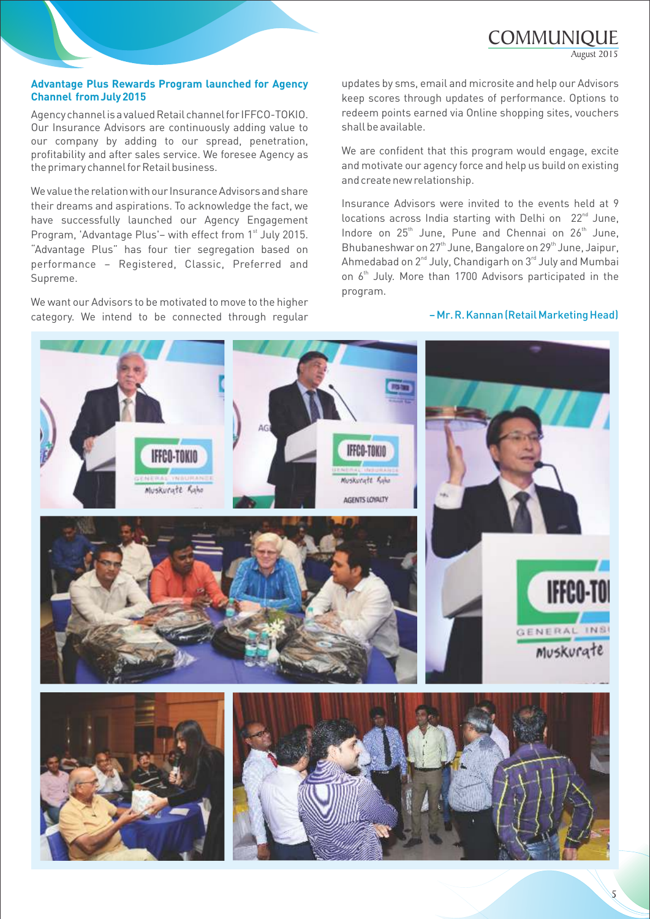**COMMUNIQUE** 

August 2015

#### **Advantage Plus Rewards Program launched for Agency Channel from July 2015**

Agency channel is a valued Retail channel for IFFCO-TOKIO. Our Insurance Advisors are continuously adding value to our company by adding to our spread, penetration, profitability and after sales service. We foresee Agency as the primary channel for Retail business.

We value the relation with our Insurance Advisors and share their dreams and aspirations. To acknowledge the fact, we have successfully launched our Agency Engagement Program, 'Advantage Plus'- with effect from 1<sup>st</sup> July 2015. "Advantage Plus" has four tier segregation based on performance Registered, Classic, Preferred and Supreme.

We want our Advisors to be motivated to move to the higher category. We intend to be connected through regular updates by sms, email and microsite and help our Advisors keep scores through updates of performance. Options to redeem points earned via Online shopping sites, vouchers shall be available.

We are confident that this program would engage, excite and motivate our agency force and help us build on existing and create new relationship.

Insurance Advisors were invited to the events held at 9  $locations$  across India starting with Delhi on  $22<sup>nd</sup>$  June. Indore on 25<sup>th</sup> June, Pune and Chennai on 26<sup>th</sup> June. Bhubaneshwar on 27<sup>th</sup> June, Bangalore on 29<sup>th</sup> June, Jaipur, Ahmedabad on  $2^{nd}$  July, Chandigarh on  $3^{rd}$  July and Mumbai on 6<sup>th</sup> July. More than 1700 Advisors participated in the program.

#### – Mr. R. Kannan (Retail Marketing Head)

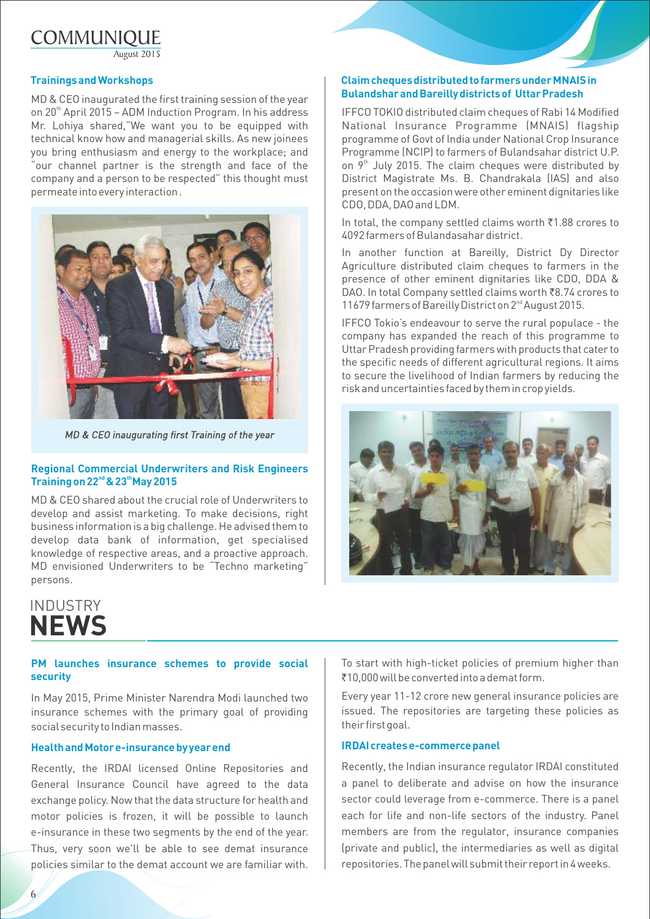## **COMMUNIQUE**

August 2015

#### **Trainings and Workshops**

MD & CEO inaugurated the first training session of the year on 20<sup>th</sup> April 2015 - ADM Induction Program. In his address Mr. Lohiya shared, "We want you to be equipped with technical know how and managerial skills. As new joinees you bring enthusiasm and energy to the workplace; and "our channel partner is the strength and face of the company and a person to be respected" this thought must permeate into every interaction .



*MD & CEO inaugurating first Training of the year*

#### **Regional Commercial Underwriters and Risk Engineers nd th Training on 22 & 23 May 2015**

MD & CEO shared about the crucial role of Underwriters to develop and assist marketing. To make decisions, right business information is a big challenge. He advised them to develop data bank of information, get specialised knowledge of respective areas, and a proactive approach. MD envisioned Underwriters to be "Techno marketing" persons.

#### **Claim cheques distributed to farmers under MNAIS in Bulandshar and Bareilly districts of Uttar Pradesh**

IFFCO TOKIO distributed claim cheques of Rabi 14 Modified National Insurance Programme (MNAIS) flagship programme of Govt of India under National Crop Insurance Programme (NCIP) to farmers of Bulandsahar district U.P. on  $9<sup>th</sup>$  July 2015. The claim cheques were distributed by District Magistrate Ms. B. Chandrakala (IAS) and also present on the occasion were other eminent dignitaries like CDO, DDA, DAO and LDM.

In total, the company settled claims worth  $\bar{z}$ 1.88 crores to 4092 farmers of Bulandasahar district.

In another function at Bareilly, District Dy Director Agriculture distributed claim cheques to farmers in the presence of other eminent dignitaries like CDO, DDA & DAO. In total Company settled claims worth ₹8.74 crores to 11679 farmers of Bareilly District on 2<sup>nd</sup> August 2015.

IFFCO Tokio's endeavour to serve the rural populace - the company has expanded the reach of this programme to Uttar Pradesh providing farmers with products that cater to the specific needs of different agricultural regions. It aims to secure the livelihood of Indian farmers by reducing the risk and uncertainties faced by them in crop yields.



## INDUSTRY **NEWS**

6

#### **PM launches insurance schemes to provide social security**

In May 2015, Prime Minister Narendra Modi launched two insurance schemes with the primary goal of providing social security to Indian masses.

#### **Health and Motor e-insurance by year end IRDAI creates e-commerce panel**

Recently, the IRDAI licensed Online Repositories and General Insurance Council have agreed to the data exchange policy. Now that the data structure for health and motor policies is frozen, it will be possible to launch e-insurance in these two segments by the end of the year. Thus, very soon we'll be able to see demat insurance policies similar to the demat account we are familiar with.

To start with high-ticket policies of premium higher than `10,000 will be converted into a demat form.

Every year 11-12 crore new general insurance policies are issued. The repositories are targeting these policies as their first goal.

Recently, the Indian insurance regulator IRDAI constituted a panel to deliberate and advise on how the insurance sector could leverage from e-commerce. There is a panel each for life and non-life sectors of the industry. Panel members are from the regulator, insurance companies (private and public), the intermediaries as well as digital repositories. The panel will submit their report in 4 weeks.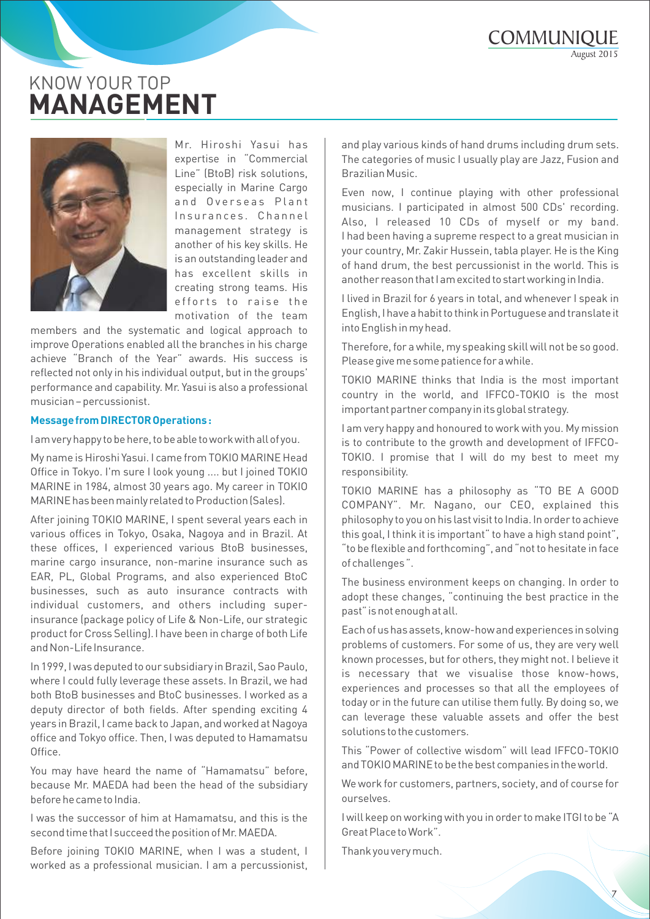## KNOW YOUR TOP **MANAGEMENT**



Mr. Hiroshi Yasui has expertise in Commercial Line" (BtoB) risk solutions, especially in Marine Cargo and Overseas Plant Insurances. Channel management strategy is another of his key skills. He is an outstanding leader and has excellent skills in creating strong teams. His efforts to raise the motivation of the team

members and the systematic and logical approach to improve Operations enabled all the branches in his charge achieve "Branch of the Year" awards. His success is reflected not only in his individual output, but in the groups' performance and capability. Mr. Yasui is also a professional musician - percussionist.

#### **Message from DIRECTOR Operations :**

I am very happy to be here, to be able to work with all of you.

My name is Hiroshi Yasui. I came from TOKIO MARINE Head Office in Tokyo. I'm sure I look young .... but I joined TOKIO MARINE in 1984, almost 30 years ago. My career in TOKIO MARINE has been mainly related to Production (Sales).

After joining TOKIO MARINE, I spent several years each in various offices in Tokyo, Osaka, Nagoya and in Brazil. At these offices, I experienced various BtoB businesses, marine cargo insurance, non-marine insurance such as EAR, PL, Global Programs, and also experienced BtoC businesses, such as auto insurance contracts with individual customers, and others including superinsurance (package policy of Life & Non-Life, our strategic product for Cross Selling).I have been in charge of both Life and Non-Life Insurance.

In 1999, I was deputed to our subsidiary in Brazil, Sao Paulo, where I could fully leverage these assets. In Brazil, we had both BtoB businesses and BtoC businesses. I worked as a deputy director of both fields. After spending exciting 4 years in Brazil, I came back to Japan, and worked at Nagoya office and Tokyo office. Then, I was deputed to Hamamatsu Office.

You may have heard the name of "Hamamatsu" before, because Mr. MAEDA had been the head of the subsidiary before he came to India.

I was the successor of him at Hamamatsu, and this is the second time that I succeed the position of Mr. MAEDA.

Before joining TOKIO MARINE, when I was a student, I worked as a professional musician. I am a percussionist, and play various kinds of hand drums including drum sets. The categories of music I usually play are Jazz, Fusion and Brazilian Music.

Even now, I continue playing with other professional musicians. I participated in almost 500 CDs' recording. Also, I released 10 CDs of myself or my band. I had been having a supreme respect to a great musician in your country, Mr. Zakir Hussein, tabla player. He is the King of hand drum, the best percussionist in the world. This is another reason that I am excited to start working in India.

I lived in Brazil for 6 years in total, and whenever I speak in English, I have a habit to think in Portuguese and translate it into English in my head.

Therefore, for a while, my speaking skill will not be so good. Please give me some patience for a while.

TOKIO MARINE thinks that India is the most important country in the world, and IFFCO-TOKIO is the most important partner company in its global strategy.

I am very happy and honoured to work with you. My mission is to contribute to the growth and development of IFFCO-TOKIO. I promise that I will do my best to meet my responsibility.

TOKIO MARINE has a philosophy as "TO BE A GOOD COMPANY. Mr. Nagano, our CEO, explained this philosophy to you on his last visit to India. In order to achieve this goal. I think it is important " to have a high stand point". "to be flexible and forthcoming", and "not to hesitate in face of challenges".

The business environment keeps on changing. In order to adopt these changes, "continuing the best practice in the past" is not enough at all.

Each of us has assets, know-how and experiences in solving problems of customers. For some of us, they are very well known processes, but for others, they might not. I believe it is necessary that we visualise those know-hows, experiences and processes so that all the employees of today or in the future can utilise them fully. By doing so, we can leverage these valuable assets and offer the best solutions to the customers.

This "Power of collective wisdom" will lead IFFCO-TOKIO and TOKIO MARINE to be the best companies in the world.

We work for customers, partners, society, and of course for ourselves.

I will keep on working with you in order to make ITGI to be "A Great Place to Work.

Thank you very much.